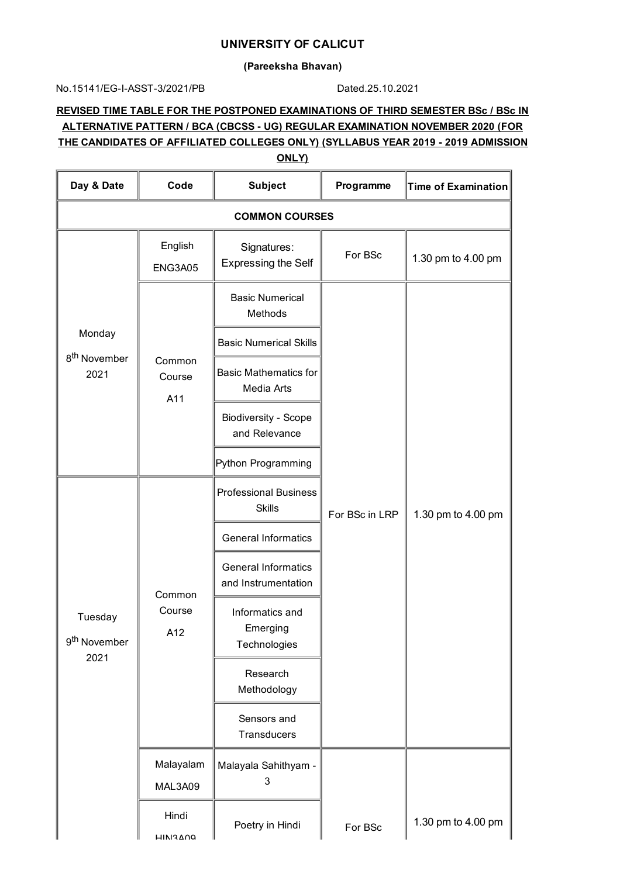## **UNIVERSITY OF CALICUT**

### **(Pareeksha Bhavan)**

### No.15141/EG-I-ASST-3/2021/PB Dated.25.10.2021

# **REVISED TIME TABLE FOR THE POSTPONED EXAMINATIONS OF THIRD SEMESTER BSc / BSc IN ALTERNATIVE PATTERN / BCA (CBCSS - UG) REGULAR EXAMINATION NOVEMBER 2020 (FOR THE CANDIDATES OF AFFILIATED COLLEGES ONLY) (SYLLABUS YEAR 2019 - 2019 ADMISSION**

| Day & Date                                  | Code                    | <b>Subject</b>                                    | Programme      | Time of Examination |
|---------------------------------------------|-------------------------|---------------------------------------------------|----------------|---------------------|
| <b>COMMON COURSES</b>                       |                         |                                                   |                |                     |
|                                             | English<br>ENG3A05      | Signatures:<br><b>Expressing the Self</b>         | For BSc        | 1.30 pm to 4.00 pm  |
|                                             | Common<br>Course<br>A11 | <b>Basic Numerical</b><br>Methods                 |                |                     |
| Monday                                      |                         | <b>Basic Numerical Skills</b>                     |                |                     |
| 8 <sup>th</sup> November<br>2021            |                         | <b>Basic Mathematics for</b><br>Media Arts        |                |                     |
|                                             |                         | <b>Biodiversity - Scope</b><br>and Relevance      |                |                     |
|                                             |                         | Python Programming                                |                |                     |
| Tuesday<br>9 <sup>th</sup> November<br>2021 | Common<br>Course<br>A12 | <b>Professional Business</b><br><b>Skills</b>     | For BSc in LRP | 1.30 pm to 4.00 pm  |
|                                             |                         | <b>General Informatics</b>                        |                |                     |
|                                             |                         | <b>General Informatics</b><br>and Instrumentation |                |                     |
|                                             |                         | Informatics and<br>Emerging<br>Technologies       |                |                     |
|                                             |                         | Research<br>Methodology                           |                |                     |
|                                             |                         | Sensors and<br>Transducers                        |                |                     |
|                                             | Malayalam<br>MAL3A09    | Malayala Sahithyam -<br>3                         |                |                     |
|                                             | Hindi<br><b>HIN3ANO</b> | Poetry in Hindi                                   | For BSc        | 1.30 pm to 4.00 pm  |

**ONLY)**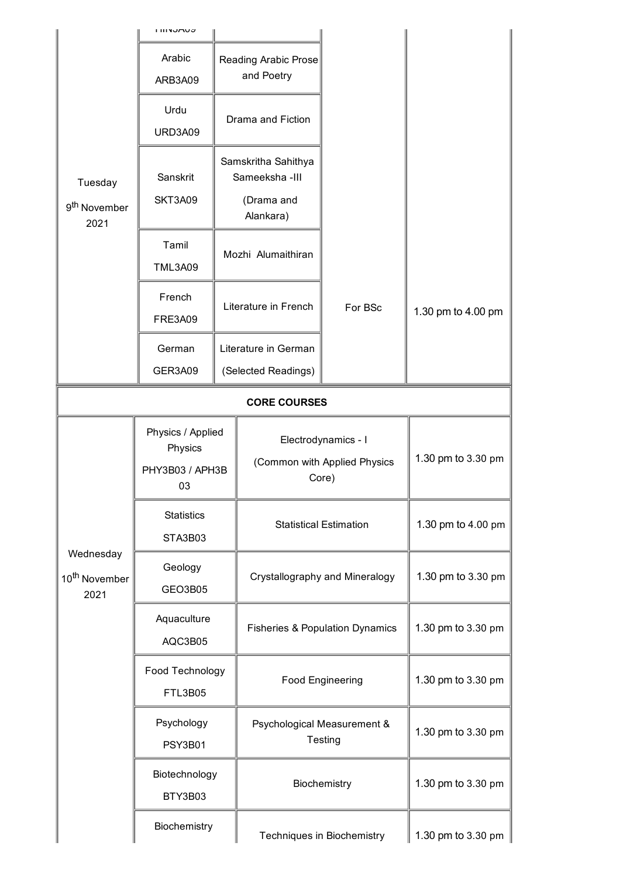|                                                | <b>LIIINUMUJ</b>                                      |                      |                                                              |                            |                    |
|------------------------------------------------|-------------------------------------------------------|----------------------|--------------------------------------------------------------|----------------------------|--------------------|
|                                                | Arabic<br>ARB3A09                                     |                      | Reading Arabic Prose<br>and Poetry                           |                            |                    |
| Tuesday                                        | Urdu<br>URD3A09                                       | Drama and Fiction    |                                                              |                            |                    |
|                                                | Sanskrit<br><b>SKT3A09</b>                            |                      | Samskritha Sahithya<br>Sameeksha-III<br>(Drama and           |                            |                    |
| 9 <sup>th</sup> November<br>2021               |                                                       |                      | Alankara)                                                    |                            |                    |
|                                                | Tamil<br><b>TML3A09</b>                               |                      | Mozhi Alumaithiran                                           |                            |                    |
|                                                | French<br><b>FRE3A09</b>                              | Literature in French |                                                              | For BSc                    | 1.30 pm to 4.00 pm |
|                                                | German<br>GER3A09                                     |                      | Literature in German<br>(Selected Readings)                  |                            |                    |
| <b>CORE COURSES</b>                            |                                                       |                      |                                                              |                            |                    |
| Wednesday<br>10 <sup>th</sup> November<br>2021 | Physics / Applied<br>Physics<br>PHY3B03 / APH3B<br>03 |                      | Electrodynamics - I<br>(Common with Applied Physics<br>Core) |                            | 1.30 pm to 3.30 pm |
|                                                | <b>Statistics</b><br>STA3B03                          |                      | <b>Statistical Estimation</b>                                |                            | 1.30 pm to 4.00 pm |
|                                                | Geology<br>GEO3B05                                    |                      | Crystallography and Mineralogy                               |                            | 1.30 pm to 3.30 pm |
|                                                | Aquaculture<br>AQC3B05                                |                      | <b>Fisheries &amp; Population Dynamics</b>                   |                            | 1.30 pm to 3.30 pm |
|                                                | Food Technology<br><b>FTL3B05</b>                     |                      | <b>Food Engineering</b>                                      |                            | 1.30 pm to 3.30 pm |
|                                                | Psychology<br><b>PSY3B01</b>                          |                      | Psychological Measurement &<br>Testing                       |                            | 1.30 pm to 3.30 pm |
|                                                | Biotechnology<br>BTY3B03                              |                      | Biochemistry                                                 |                            | 1.30 pm to 3.30 pm |
|                                                | Biochemistry                                          |                      |                                                              | Techniques in Biochemistry | 1.30 pm to 3.30 pm |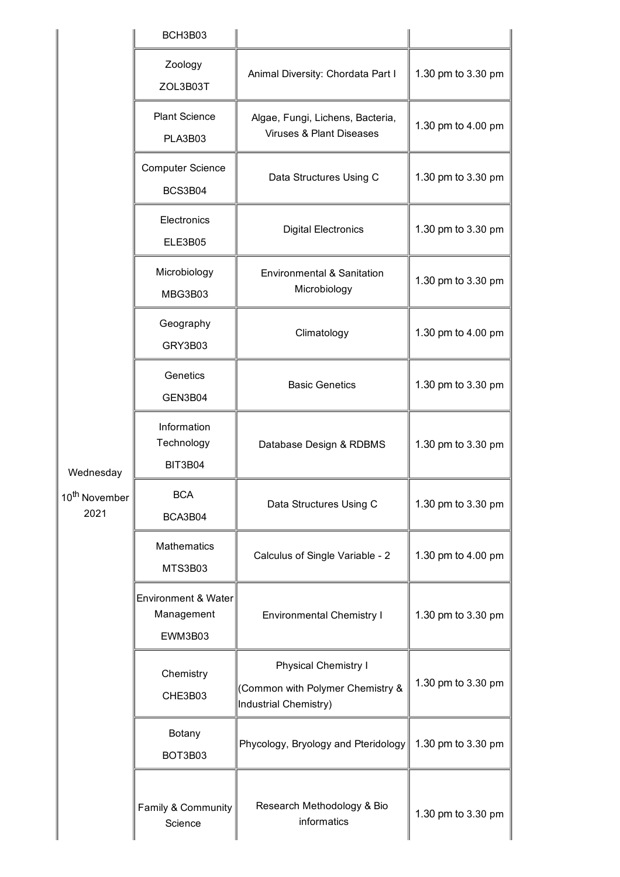|                                                | BCH3B03                                      |                                                                                   |                    |
|------------------------------------------------|----------------------------------------------|-----------------------------------------------------------------------------------|--------------------|
| Wednesday<br>10 <sup>th</sup> November<br>2021 | Zoology<br>ZOL3B03T                          | Animal Diversity: Chordata Part I                                                 | 1.30 pm to 3.30 pm |
|                                                | <b>Plant Science</b><br>PLA3B03              | Algae, Fungi, Lichens, Bacteria,<br><b>Viruses &amp; Plant Diseases</b>           | 1.30 pm to 4.00 pm |
|                                                | <b>Computer Science</b><br>BCS3B04           | Data Structures Using C                                                           | 1.30 pm to 3.30 pm |
|                                                | Electronics<br>ELE3B05                       | <b>Digital Electronics</b>                                                        | 1.30 pm to 3.30 pm |
|                                                | Microbiology<br>MBG3B03                      | Environmental & Sanitation<br>Microbiology                                        | 1.30 pm to 3.30 pm |
|                                                | Geography<br>GRY3B03                         | Climatology                                                                       | 1.30 pm to 4.00 pm |
|                                                | Genetics<br>GEN3B04                          | <b>Basic Genetics</b>                                                             | 1.30 pm to 3.30 pm |
|                                                | Information<br>Technology<br><b>BIT3B04</b>  | Database Design & RDBMS                                                           | 1.30 pm to 3.30 pm |
|                                                | <b>BCA</b><br>BCA3B04                        | Data Structures Using C                                                           | 1.30 pm to 3.30 pm |
|                                                | <b>Mathematics</b><br>MTS3B03                | Calculus of Single Variable - 2                                                   | 1.30 pm to 4.00 pm |
|                                                | Environment & Water<br>Management<br>EWM3B03 | <b>Environmental Chemistry I</b>                                                  | 1.30 pm to 3.30 pm |
|                                                | Chemistry<br>CHE3B03                         | Physical Chemistry I<br>(Common with Polymer Chemistry &<br>Industrial Chemistry) | 1.30 pm to 3.30 pm |
|                                                | Botany<br>BOT3B03                            | Phycology, Bryology and Pteridology                                               | 1.30 pm to 3.30 pm |
|                                                | Family & Community<br>Science                | Research Methodology & Bio<br>informatics                                         | 1.30 pm to 3.30 pm |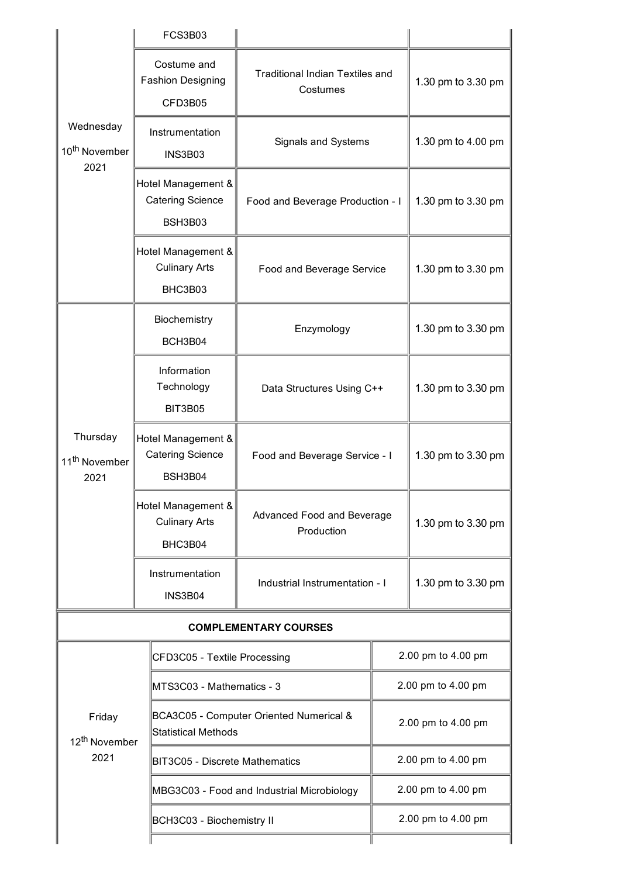|                                                | FCS3B03                                                  |                                                                       |  |                    |  |
|------------------------------------------------|----------------------------------------------------------|-----------------------------------------------------------------------|--|--------------------|--|
| Wednesday<br>10 <sup>th</sup> November<br>2021 | Costume and<br><b>Fashion Designing</b><br>CFD3B05       | <b>Traditional Indian Textiles and</b><br>Costumes                    |  | 1.30 pm to 3.30 pm |  |
|                                                | Instrumentation<br>INS3B03                               | Signals and Systems                                                   |  | 1.30 pm to 4.00 pm |  |
|                                                | Hotel Management &<br><b>Catering Science</b><br>BSH3B03 | Food and Beverage Production - I                                      |  | 1.30 pm to 3.30 pm |  |
|                                                | Hotel Management &<br><b>Culinary Arts</b><br>BHC3B03    | Food and Beverage Service                                             |  | 1.30 pm to 3.30 pm |  |
| Thursday<br>11 <sup>th</sup> November<br>2021  | Biochemistry<br>BCH3B04                                  | Enzymology                                                            |  | 1.30 pm to 3.30 pm |  |
|                                                | Information<br>Technology<br><b>BIT3B05</b>              | Data Structures Using C++                                             |  | 1.30 pm to 3.30 pm |  |
|                                                | Hotel Management &<br><b>Catering Science</b><br>BSH3B04 | Food and Beverage Service - I                                         |  | 1.30 pm to 3.30 pm |  |
|                                                | Hotel Management &<br><b>Culinary Arts</b><br>BHC3B04    | Advanced Food and Beverage<br>Production                              |  | 1.30 pm to 3.30 pm |  |
|                                                | Instrumentation<br><b>INS3B04</b>                        | Industrial Instrumentation - I                                        |  | 1.30 pm to 3.30 pm |  |
| <b>COMPLEMENTARY COURSES</b>                   |                                                          |                                                                       |  |                    |  |
|                                                |                                                          | CFD3C05 - Textile Processing                                          |  | 2.00 pm to 4.00 pm |  |
|                                                |                                                          | MTS3C03 - Mathematics - 3                                             |  | 2.00 pm to 4.00 pm |  |
| Friday<br>12 <sup>th</sup> November            |                                                          | BCA3C05 - Computer Oriented Numerical &<br><b>Statistical Methods</b> |  | 2.00 pm to 4.00 pm |  |
| 2021                                           |                                                          | <b>BIT3C05 - Discrete Mathematics</b>                                 |  | 2.00 pm to 4.00 pm |  |
|                                                |                                                          | MBG3C03 - Food and Industrial Microbiology                            |  | 2.00 pm to 4.00 pm |  |
|                                                |                                                          | BCH3C03 - Biochemistry II                                             |  | 2.00 pm to 4.00 pm |  |
|                                                |                                                          |                                                                       |  |                    |  |